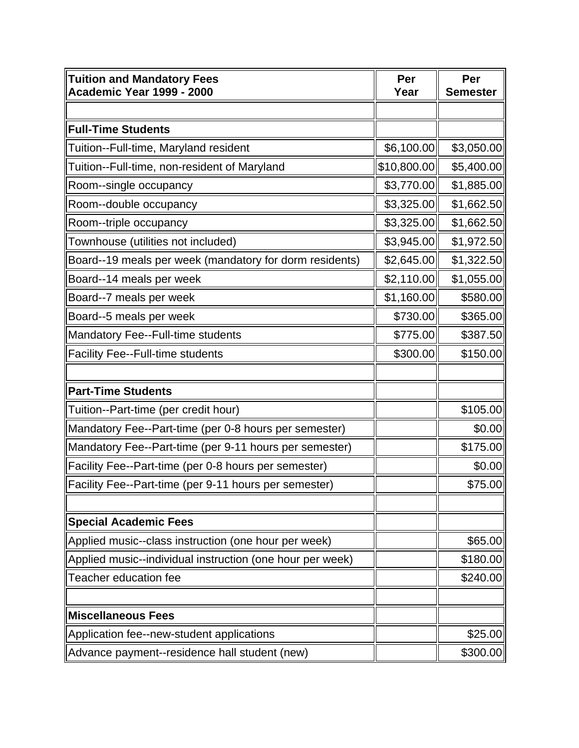| <b>Tuition and Mandatory Fees</b><br><b>Academic Year 1999 - 2000</b> | Per<br>Year | Per<br><b>Semester</b> |
|-----------------------------------------------------------------------|-------------|------------------------|
|                                                                       |             |                        |
| <b>Full-Time Students</b>                                             |             |                        |
| Tuition--Full-time, Maryland resident                                 | \$6,100.00  | \$3,050.00             |
| Tuition--Full-time, non-resident of Maryland                          | \$10,800.00 | \$5,400.00             |
| Room--single occupancy                                                | \$3,770.00  | \$1,885.00             |
| Room--double occupancy                                                | \$3,325.00  | \$1,662.50             |
| Room--triple occupancy                                                | \$3,325.00  | \$1,662.50             |
| Townhouse (utilities not included)                                    | \$3,945.00  | \$1,972.50             |
| Board--19 meals per week (mandatory for dorm residents)               | \$2,645.00  | \$1,322.50             |
| Board--14 meals per week                                              | \$2,110.00  | \$1,055.00             |
| Board--7 meals per week                                               | \$1,160.00  | \$580.00               |
| Board--5 meals per week                                               | \$730.00    | \$365.00               |
| Mandatory Fee--Full-time students                                     | \$775.00    | \$387.50               |
| <b>Facility Fee--Full-time students</b>                               | \$300.00    | \$150.00               |
|                                                                       |             |                        |
| <b>Part-Time Students</b>                                             |             |                        |
| Tuition--Part-time (per credit hour)                                  |             | \$105.00               |
| Mandatory Fee--Part-time (per 0-8 hours per semester)                 |             | \$0.00                 |
| Mandatory Fee--Part-time (per 9-11 hours per semester)                |             | \$175.00               |
| Facility Fee--Part-time (per 0-8 hours per semester)                  |             | \$0.00                 |
| Facility Fee--Part-time (per 9-11 hours per semester)                 |             | \$75.00                |
|                                                                       |             |                        |
| <b>Special Academic Fees</b>                                          |             |                        |
| Applied music--class instruction (one hour per week)                  |             | \$65.00                |
| Applied music--individual instruction (one hour per week)             |             | \$180.00               |
| Teacher education fee                                                 |             | \$240.00               |
|                                                                       |             |                        |
| <b>Miscellaneous Fees</b>                                             |             |                        |
| Application fee--new-student applications                             |             | \$25.00                |
| Advance payment--residence hall student (new)                         |             | \$300.00               |